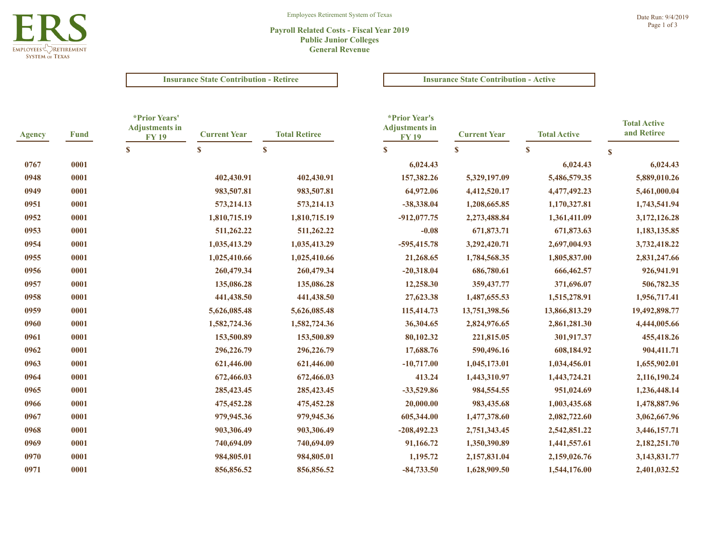

### **Payroll Related Costs - Fiscal Year 2019 Public Junior Colleges General Revenue**

**Insurance State Contribution - Retiree Insurance State Contribution - Active** 

| <b>Agency</b> | <b>Fund</b> | *Prior Years'<br><b>Adjustments in</b><br><b>FY 19</b><br>$\mathbf{s}$ | <b>Current Year</b><br>$\mathbf{s}$ | *Prior Year's<br><b>Adjustments in</b><br><b>Total Retiree</b><br><b>FY19</b><br>$\boldsymbol{s}$<br>$\mathbf{s}$ |               | <b>Current Year</b> | <b>Total Active</b> | <b>Total Active</b><br>and Retiree |
|---------------|-------------|------------------------------------------------------------------------|-------------------------------------|-------------------------------------------------------------------------------------------------------------------|---------------|---------------------|---------------------|------------------------------------|
|               |             |                                                                        |                                     |                                                                                                                   | $\mathbf{s}$  | $\mathbf{s}$        | $\mathbf{s}$        |                                    |
| 0767          | 0001        |                                                                        |                                     |                                                                                                                   | 6,024.43      |                     | 6,024.43            | 6,024.43                           |
| 0948          | 0001        |                                                                        | 402,430.91                          | 402,430.91                                                                                                        | 157,382.26    | 5,329,197.09        | 5,486,579.35        | 5,889,010.26                       |
| 0949          | 0001        |                                                                        | 983,507.81                          | 983,507.81                                                                                                        | 64,972.06     | 4,412,520.17        | 4,477,492.23        | 5,461,000.04                       |
| 0951          | 0001        |                                                                        | 573,214.13                          | 573, 214. 13                                                                                                      | -38,338.04    | 1,208,665.85        | 1,170,327.81        | 1,743,541.94                       |
| 0952          | 0001        |                                                                        | 1,810,715.19                        | 1,810,715.19                                                                                                      | $-912,077.75$ | 2,273,488.84        | 1,361,411.09        | 3,172,126.28                       |
| 0953          | 0001        |                                                                        | 511,262.22                          | 511,262.22                                                                                                        | $-0.08$       | 671,873.71          | 671,873.63          | 1,183,135.85                       |
| 0954          | 0001        |                                                                        | 1,035,413.29                        | 1,035,413.29                                                                                                      | $-595,415.78$ | 3,292,420.71        | 2,697,004.93        | 3,732,418.22                       |
| 0955          | 0001        |                                                                        | 1,025,410.66                        | 1,025,410.66                                                                                                      | 21,268.65     | 1,784,568.35        | 1,805,837.00        | 2,831,247.66                       |
| 0956          | 0001        |                                                                        | 260,479.34                          | 260,479.34                                                                                                        | $-20,318.04$  | 686,780.61          | 666,462.57          | 926,941.91                         |
| 0957          | 0001        |                                                                        | 135,086.28                          | 135,086.28                                                                                                        | 12,258.30     | 359, 437. 77        | 371,696.07          | 506,782.35                         |
| 0958          | 0001        |                                                                        | 441,438.50                          | 441,438.50                                                                                                        | 27,623.38     | 1,487,655.53        | 1,515,278.91        | 1,956,717.41                       |
| 0959          | 0001        |                                                                        | 5,626,085.48                        | 5,626,085.48                                                                                                      | 115,414.73    | 13,751,398.56       | 13,866,813.29       | 19,492,898.77                      |
| 0960          | 0001        |                                                                        | 1,582,724.36                        | 1,582,724.36                                                                                                      | 36,304.65     | 2,824,976.65        | 2,861,281.30        | 4,444,005.66                       |
| 0961          | 0001        |                                                                        | 153,500.89                          | 153,500.89                                                                                                        | 80,102.32     | 221,815.05          | 301,917.37          | 455,418.26                         |
| 0962          | 0001        |                                                                        | 296,226.79                          | 296,226.79                                                                                                        | 17,688.76     | 590,496.16          | 608,184.92          | 904,411.71                         |
| 0963          | 0001        |                                                                        | 621,446.00                          | 621,446.00                                                                                                        | $-10,717.00$  | 1,045,173.01        | 1,034,456.01        | 1,655,902.01                       |
| 0964          | 0001        |                                                                        | 672,466.03                          | 672,466.03                                                                                                        | 413.24        | 1,443,310.97        | 1,443,724.21        | 2,116,190.24                       |
| 0965          | 0001        |                                                                        | 285,423.45                          | 285,423.45                                                                                                        | $-33,529.86$  | 984,554.55          | 951,024.69          | 1,236,448.14                       |
| 0966          | 0001        |                                                                        | 475,452.28                          | 475, 452.28                                                                                                       | 20,000.00     | 983,435.68          | 1,003,435.68        | 1,478,887.96                       |
| 0967          | 0001        |                                                                        | 979,945.36                          | 979,945.36                                                                                                        | 605,344.00    | 1,477,378.60        | 2,082,722.60        | 3,062,667.96                       |
| 0968          | 0001        |                                                                        | 903,306.49                          | 903,306.49                                                                                                        | $-208,492.23$ | 2,751,343.45        | 2,542,851.22        | 3,446,157.71                       |
| 0969          | 0001        |                                                                        | 740,694.09                          | 740,694.09                                                                                                        | 91,166.72     | 1,350,390.89        | 1,441,557.61        | 2,182,251.70                       |
| 0970          | 0001        |                                                                        | 984,805.01                          | 984,805.01                                                                                                        | 1,195.72      | 2,157,831.04        | 2,159,026.76        | 3,143,831.77                       |
| 0971          | 0001        |                                                                        | 856,856.52                          | 856,856.52                                                                                                        | $-84,733.50$  | 1,628,909.50        | 1,544,176.00        | 2,401,032.52                       |
|               |             |                                                                        |                                     |                                                                                                                   |               |                     |                     |                                    |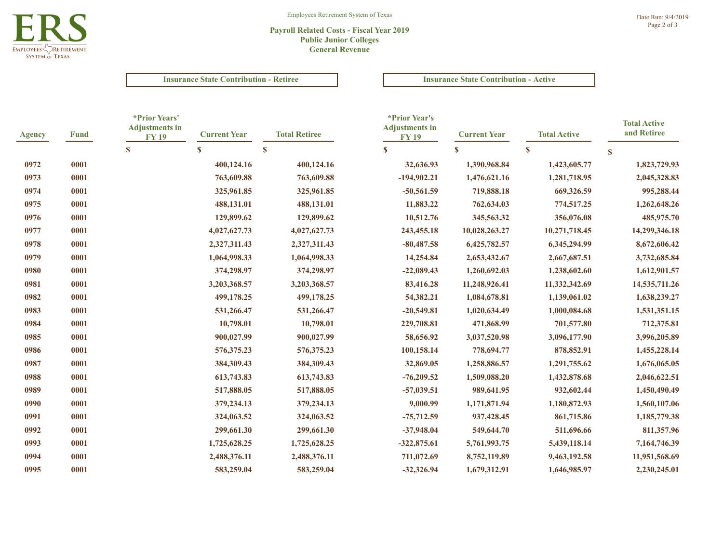

# **Payroll Related Costs - Fiscal Year 2019 Public Junior Colleges General Revenue**

## **Insurance State Contribution - Retiree Insurance State Contribution - Active**

| <b>Agency</b> | <b>Fund</b> | *Prior Years'<br><b>Adjustments in</b><br><b>FY19</b> | <b>Current Year</b> | <b>Total Retiree</b> | *Prior Year's<br><b>Adjustments in</b><br><b>FY19</b> | <b>Current Year</b> | <b>Total Active</b> | <b>Total Active</b><br>and Retiree |
|---------------|-------------|-------------------------------------------------------|---------------------|----------------------|-------------------------------------------------------|---------------------|---------------------|------------------------------------|
|               |             | $\mathbf{s}$                                          | S                   | $\boldsymbol{s}$     | $\mathbf{s}$                                          | $\mathbf{s}$        | $\mathbf{s}$        | $\mathbf{s}$                       |
| 0972          | 0001        |                                                       | 400,124.16          | 400,124.16           | 32,636.93                                             | 1,390,968.84        | 1,423,605.77        | 1,823,729.93                       |
| 0973          | 0001        |                                                       | 763,609.88          | 763,609.88           | $-194,902.21$                                         | 1,476,621.16        | 1,281,718.95        | 2,045,328.83                       |
| 0974          | 0001        |                                                       | 325,961.85          | 325,961.85           | $-50,561.59$                                          | 719,888.18          | 669,326.59          | 995,288.44                         |
| 0975          | 0001        |                                                       | 488,131.01          | 488,131.01           | 11,883.22                                             | 762,634.03          | 774,517.25          | 1,262,648.26                       |
| 0976          | 0001        |                                                       | 129,899.62          | 129,899.62           | 10,512.76                                             | 345,563.32          | 356,076.08          | 485,975.70                         |
| 0977          | 0001        |                                                       | 4,027,627.73        | 4,027,627.73         | 243,455.18                                            | 10,028,263.27       | 10,271,718.45       | 14,299,346.18                      |
| 0978          | 0001        |                                                       | 2,327,311.43        | 2,327,311.43         | $-80,487.58$                                          | 6,425,782.57        | 6,345,294.99        | 8,672,606.42                       |
| 0979          | 0001        |                                                       | 1,064,998.33        | 1,064,998.33         | 14,254.84                                             | 2,653,432.67        | 2,667,687.51        | 3,732,685.84                       |
| 0980          | 0001        |                                                       | 374,298.97          | 374,298.97           | $-22,089.43$                                          | 1,260,692.03        | 1,238,602.60        | 1,612,901.57                       |
| 0981          | 0001        |                                                       | 3,203,368.57        | 3,203,368.57         | 83,416.28                                             | 11,248,926.41       | 11,332,342.69       | 14,535,711.26                      |
| 0982          | 0001        |                                                       | 499,178.25          | 499,178.25           | 54,382.21                                             | 1,084,678.81        | 1,139,061.02        | 1,638,239.27                       |
| 0983          | 0001        |                                                       | 531,266.47          | 531,266.47           | $-20,549.81$                                          | 1,020,634.49        | 1,000,084.68        | 1,531,351.15                       |
| 0984          | 0001        |                                                       | 10,798.01           | 10,798.01            | 229,708.81                                            | 471,868.99          | 701,577.80          | 712,375.81                         |
| 0985          | 0001        |                                                       | 900,027.99          | 900,027.99           | 58,656.92                                             | 3,037,520.98        | 3,096,177.90        | 3,996,205.89                       |
| 0986          | 0001        |                                                       | 576,375.23          | 576,375.23           | 100,158.14                                            | 778,694.77          | 878,852.91          | 1,455,228.14                       |
| 0987          | 0001        |                                                       | 384,309.43          | 384,309.43           | 32,869.05                                             | 1,258,886.57        | 1,291,755.62        | 1,676,065.05                       |
| 0988          | 0001        |                                                       | 613,743.83          | 613,743.83           | $-76,209.52$                                          | 1,509,088.20        | 1,432,878.68        | 2,046,622.51                       |
| 0989          | 0001        |                                                       | 517,888.05          | 517,888.05           | $-57,039.51$                                          | 989,641.95          | 932,602.44          | 1,450,490.49                       |
| 0990          | 0001        |                                                       | 379,234.13          | 379,234.13           | 9,000.99                                              | 1,171,871.94        | 1,180,872.93        | 1,560,107.06                       |
| 0991          | 0001        |                                                       | 324,063.52          | 324,063.52           | $-75,712.59$                                          | 937,428.45          | 861,715.86          | 1,185,779.38                       |
| 0992          | 0001        |                                                       | 299,661.30          | 299,661.30           | $-37,948.04$                                          | 549,644.70          | 511,696.66          | 811,357.96                         |
| 0993          | 0001        |                                                       | 1,725,628.25        | 1,725,628.25         | $-322,875.61$                                         | 5,761,993.75        | 5,439,118.14        | 7,164,746.39                       |
| 0994          | 0001        |                                                       | 2,488,376.11        | 2,488,376.11         | 711,072.69                                            | 8,752,119.89        | 9,463,192.58        | 11,951,568.69                      |
| 0995          | 0001        |                                                       | 583,259.04          | 583,259.04           | $-32,326.94$                                          | 1,679,312.91        | 1,646,985.97        | 2,230,245.01                       |
|               |             |                                                       |                     |                      |                                                       |                     |                     |                                    |